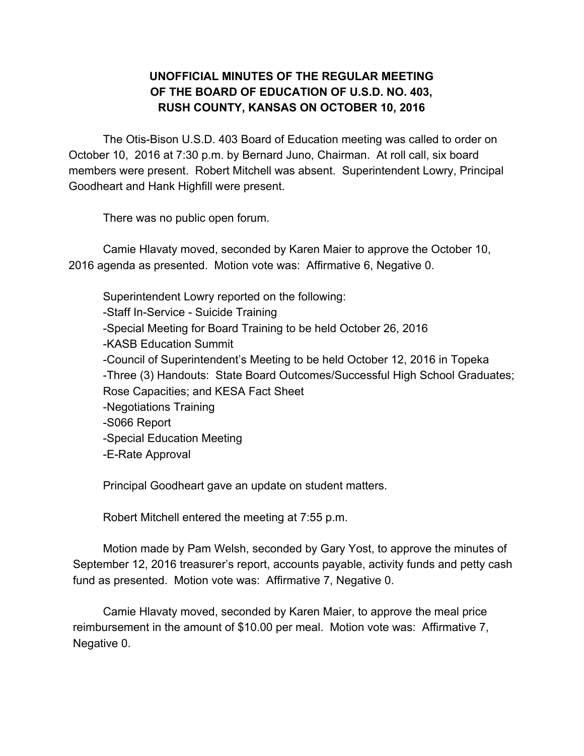## **UNOFFICIAL MINUTES OF THE REGULAR MEETING OF THE BOARD OF EDUCATION OF U.S.D. NO. 403, RUSH COUNTY, KANSAS ON OCTOBER 10, 2016**

The Otis-Bison U.S.D. 403 Board of Education meeting was called to order on October 10, 2016 at 7:30 p.m. by Bernard Juno, Chairman. At roll call, six board members were present. Robert Mitchell was absent. Superintendent Lowry, Principal Goodheart and Hank Highfill were present.

There was no public open forum.

Camie Hlavaty moved, seconded by Karen Maier to approve the October 10, 2016 agenda as presented. Motion vote was: Affirmative 6, Negative 0.

Superintendent Lowry reported on the following: -Staff In-Service - Suicide Training -Special Meeting for Board Training to be held October 26, 2016 -KASB Education Summit -Council of Superintendent's Meeting to be held October 12, 2016 in Topeka -Three (3) Handouts: State Board Outcomes/Successful High School Graduates; Rose Capacities; and KESA Fact Sheet -Negotiations Training -S066 Report -Special Education Meeting -E-Rate Approval

Principal Goodheart gave an update on student matters.

Robert Mitchell entered the meeting at 7:55 p.m.

Motion made by Pam Welsh, seconded by Gary Yost, to approve the minutes of September 12, 2016 treasurer's report, accounts payable, activity funds and petty cash fund as presented. Motion vote was: Affirmative 7, Negative 0.

Camie Hlavaty moved, seconded by Karen Maier, to approve the meal price reimbursement in the amount of \$10.00 per meal. Motion vote was: Affirmative 7, Negative 0.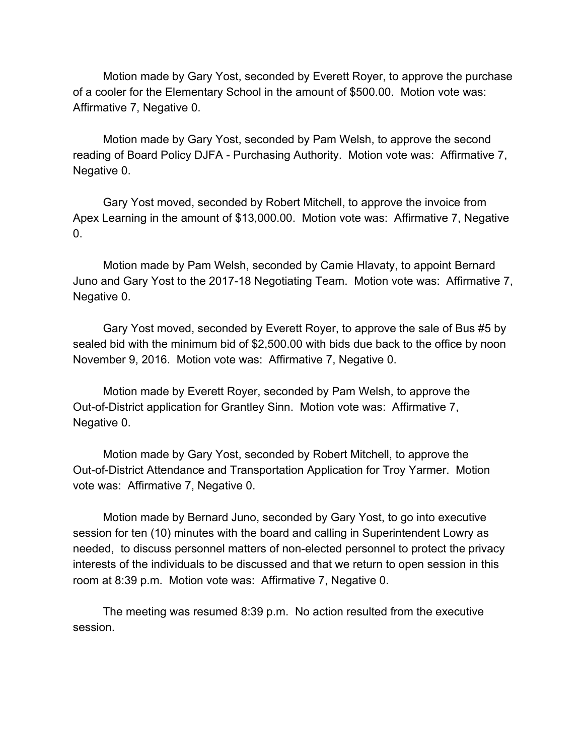Motion made by Gary Yost, seconded by Everett Royer, to approve the purchase of a cooler for the Elementary School in the amount of \$500.00. Motion vote was: Affirmative 7, Negative 0.

Motion made by Gary Yost, seconded by Pam Welsh, to approve the second reading of Board Policy DJFA - Purchasing Authority. Motion vote was: Affirmative 7, Negative 0.

Gary Yost moved, seconded by Robert Mitchell, to approve the invoice from Apex Learning in the amount of \$13,000.00. Motion vote was: Affirmative 7, Negative  $\overline{0}$ .

Motion made by Pam Welsh, seconded by Camie Hlavaty, to appoint Bernard Juno and Gary Yost to the 2017-18 Negotiating Team. Motion vote was: Affirmative 7, Negative 0.

Gary Yost moved, seconded by Everett Royer, to approve the sale of Bus #5 by sealed bid with the minimum bid of \$2,500.00 with bids due back to the office by noon November 9, 2016. Motion vote was: Affirmative 7, Negative 0.

Motion made by Everett Royer, seconded by Pam Welsh, to approve the Out-of-District application for Grantley Sinn. Motion vote was: Affirmative 7, Negative 0.

Motion made by Gary Yost, seconded by Robert Mitchell, to approve the Out-of-District Attendance and Transportation Application for Troy Yarmer. Motion vote was: Affirmative 7, Negative 0.

Motion made by Bernard Juno, seconded by Gary Yost, to go into executive session for ten (10) minutes with the board and calling in Superintendent Lowry as needed, to discuss personnel matters of non-elected personnel to protect the privacy interests of the individuals to be discussed and that we return to open session in this room at 8:39 p.m. Motion vote was: Affirmative 7, Negative 0.

The meeting was resumed 8:39 p.m. No action resulted from the executive session.